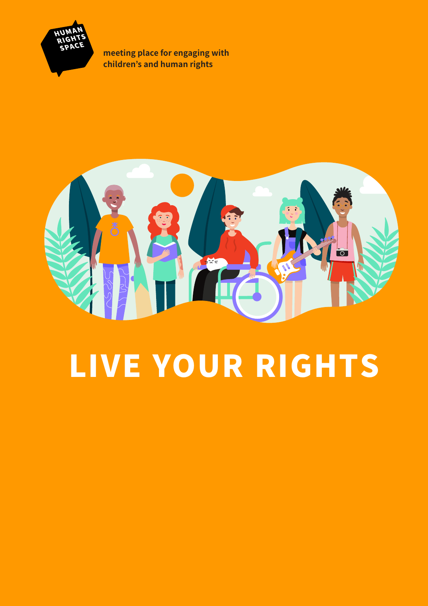

**meeting place for engaging with children's and human rights**



# LIVE YOUR RIGHTS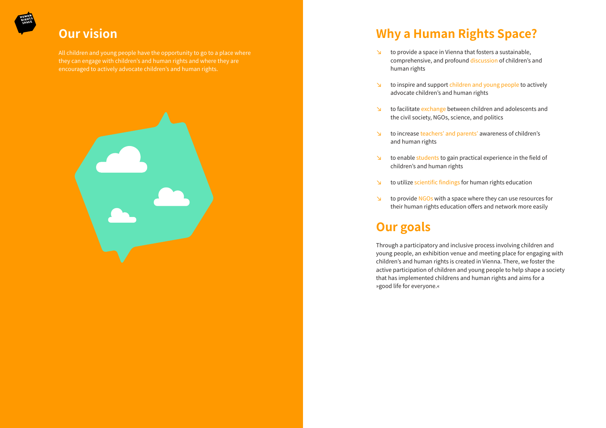## **Our vision**

All children and young people have the opportunity to go to a place where they can engage with children's and human rights and where they are encouraged to actively advocate children's and human rights.



# **Why a Human Rights Space?**

- to provide a space in Vienna that fosters a sustainable, human rights
- advocate children's and human rights
- the civil society, NGOs, science, and politics
- and human rights
- children's and human rights
- to utilize scientific findings for human rights education
- 

comprehensive, and profound discussion of children's and

to inspire and support children and young people to actively

 $\triangleright$  to facilitate exchange between children and adolescents and

 $\triangleright$  to provide NGOs with a space where they can use resources for their human rights education offers and network more easily

h to increase teachers' and parents' awareness of children's

 $\triangleright$  to enable students to gain practical experience in the field of

# **Our goals**

Through a participatory and inclusive process involving children and young people, an exhibition venue and meeting place for engaging with children's and human rights is created in Vienna. There, we foster the active participation of children and young people to help shape a society that has implemented childrens and human rights and aims for a »good life for everyone.«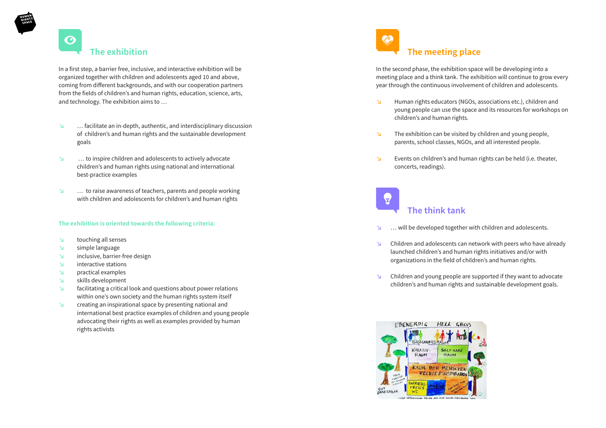### $\mathbf{\Theta}$ **The exhibition**

In a first step, a barrier free, inclusive, and interactive exhibition will be organized together with children and adolescents aged 10 and above, coming from different backgrounds, and with our cooperation partners from the fields of children's and human rights, education, science, arts, and technology. The exhibition aims to …

- $\Box$  ... facilitate an in-depth, authentic, and interdisciplinary discussion of children's and human rights and the sustainable development goals
- $h$  … to inspire children and adolescents to actively advocate children's and human rights using national and international best-practice examples
- $\blacksquare$  ... to raise awareness of teachers, parents and people working with children and adolescents for children's and human rights

- $\vee$  touching all senses
- $\mathbf{S}$  simple language
- $\vee$  inclusive, barrier-free design
- $\mathbf{h}$  interactive stations
- $\vee$  practical examples
- $\mathbf{b}$  skills development
- **h** facilitating a critical look and questions about power relations within one's own society and the human rights system itself
- **h** creating an inspirational space by presenting national and international best practice examples of children and young people advocating their rights as well as examples provided by human rights activists

### **The exhibition is oriented towards the following criteria:**

**Human rights educators (NGOs, associations etc.), children and** young people can use the space and its resources for workshops on

 $\triangleright$  The exhibition can be visited by children and young people, parents, school classes, NGOs, and all interested people.

**h** Events on children's and human rights can be held (i.e. theater,

 $\triangleright$  Children and adolescents can network with peers who have already launched children's and human rights initiatives and/or with organizations in the field of children's and human rights.

 $\triangleright$  Children and young people are supported if they want to advocate children's and human rights and sustainable development goals.



In the second phase, the exhibition space will be developing into a meeting place and a think tank. The exhibition will continue to grow every year through the continuous involvement of children and adolescents.

- children's and human rights.
- 
- concerts, readings).

- 
- 
- 



### **The think tank**

 $\blacksquare$  ... will be developed together with children and adolescents.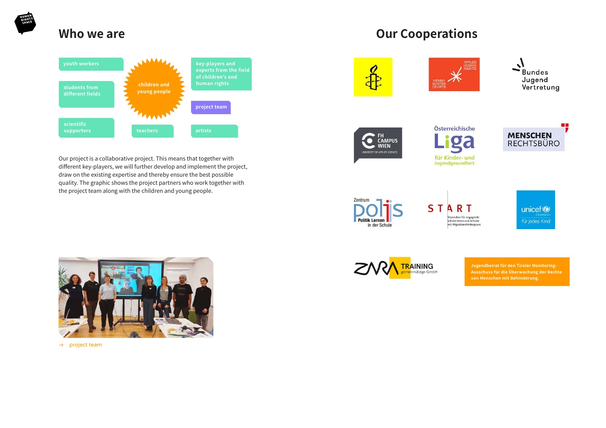

### **Who we are**

### **youth workers key-players and experts from the field of children's and human rights children and students from young people different fields project team LAAAN scientific supporters teachers artists**

Our project is a collaborative project. This means that together with different key-players, we will further develop and implement the project, draw on the existing expertise and thereby ensure the best possible quality. The graphic shows the project partners who work together with the project team along with the children and young people.









**Zentrum Politik Lernen** in der Schule







 $\rightarrow$  project team













.<br>tipendien für engagierte Schülerinnen und Schüler<br>mit Migrationshintergrund unicef<sup>®</sup> für jedes Kind

**Jugendbeirat für den Tiroler Monitoring-Ausschuss für die Überwachung der Rechte von Menschen mit Behinderung.**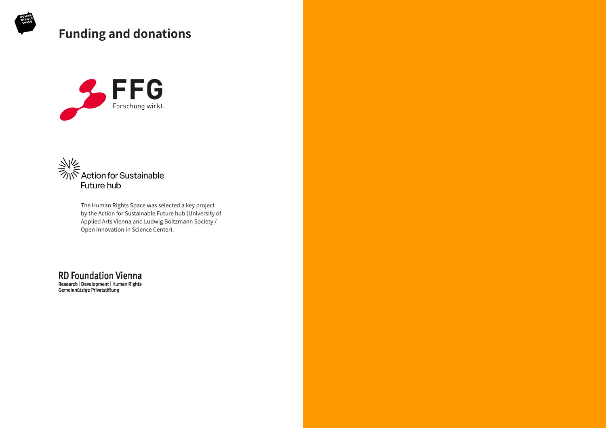The Human Rights Space was selected a key project by the Action for Sustainable Future hub (University of Applied Arts Vienna and Ludwig Boltzmann Society / Open Innovation in Science Center).

**RD Foundation Vienna** Research | Development | Human Rights Gemeinnützige Privatstiftung



# **Funding and donations**